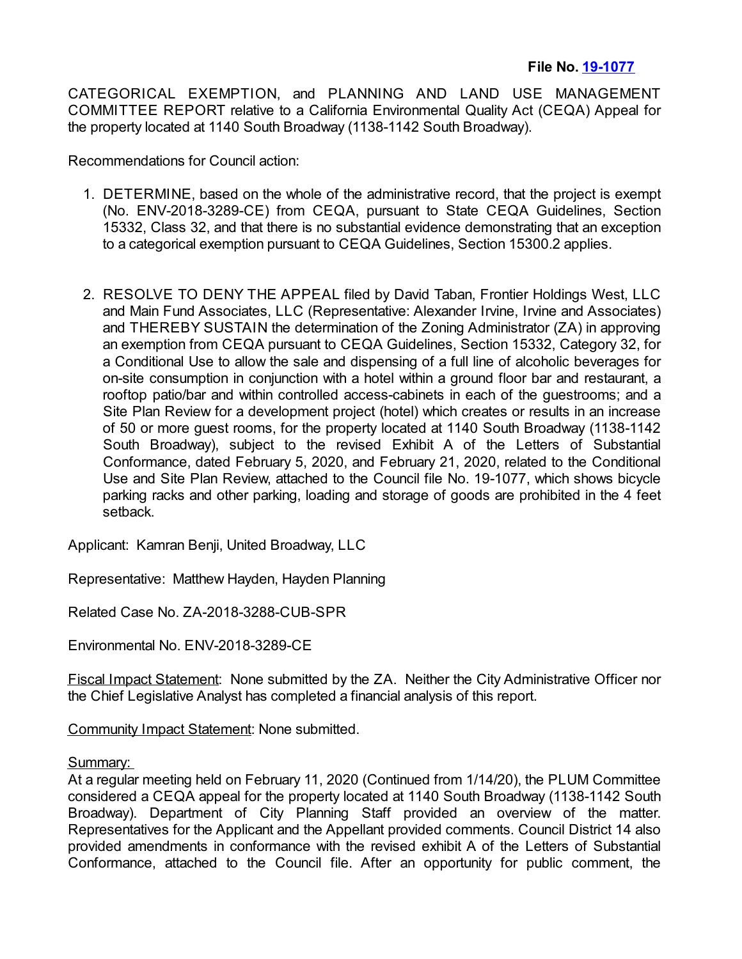CATEGORICAL EXEMPTION, and PLANNING AND LAND USE MANAGEMENT COMMITTEE REPORT relative to a California Environmental Quality Act (CEQA) Appeal for the property located at 1140 South Broadway (1138-1142 South Broadway).

Recommendations for Council action:

- 1. DETERMINE, based on the whole of the administrative record, that the project is exempt (No. ENV-2018-3289-CE) from CEQA, pursuant to State CEQA Guidelines, Section 15332, Class 32, and that there is no substantial evidence demonstrating that an exception to a categorical exemption pursuant to CEQA Guidelines, Section 15300.2 applies.
- 2. RESOLVE TO DENY THE APPEAL filed by David Taban, Frontier Holdings West, LLC and Main Fund Associates, LLC (Representative: Alexander Irvine, Irvine and Associates) and THEREBY SUSTAIN the determination of the Zoning Administrator (ZA) in approving an exemption from CEQA pursuant to CEQA Guidelines, Section 15332, Category 32, for a Conditional Use to allow the sale and dispensing of a full line of alcoholic beverages for on-site consumption in conjunction with a hotel within a ground floor bar and restaurant, a rooftop patio/bar and within controlled access-cabinets in each of the guestrooms; and a Site Plan Review for a development project (hotel) which creates or results in an increase of 50 or more guest rooms, for the property located at 1140 South Broadway (1138-1142 South Broadway), subject to the revised Exhibit A of the Letters of Substantial Conformance, dated February 5, 2020, and February 21, 2020, related to the Conditional Use and Site Plan Review, attached to the Council file No. 19-1077, which shows bicycle parking racks and other parking, loading and storage of goods are prohibited in the 4 feet setback.

Applicant: Kamran Benji, United Broadway, LLC

Representative: Matthew Hayden, Hayden Planning

Related Case No. ZA-2018-3288-CUB-SPR

Environmental No. ENV-2018-3289-CE

Fiscal Impact Statement: None submitted by the ZA. Neither the City Administrative Officer nor the Chief Legislative Analyst has completed a financial analysis of this report.

Community Impact Statement: None submitted.

## Summary:

At a regular meeting held on February 11, 2020 (Continued from 1/14/20), the PLUM Committee considered a CEQA appeal for the property located at 1140 South Broadway (1138-1142 South Broadway). Department of City Planning Staff provided an overview of the matter. Representatives for the Applicant and the Appellant provided comments. Council District 14 also provided amendments in conformance with the revised exhibit A of the Letters of Substantial Conformance, attached to the Council file. After an opportunity for public comment, the